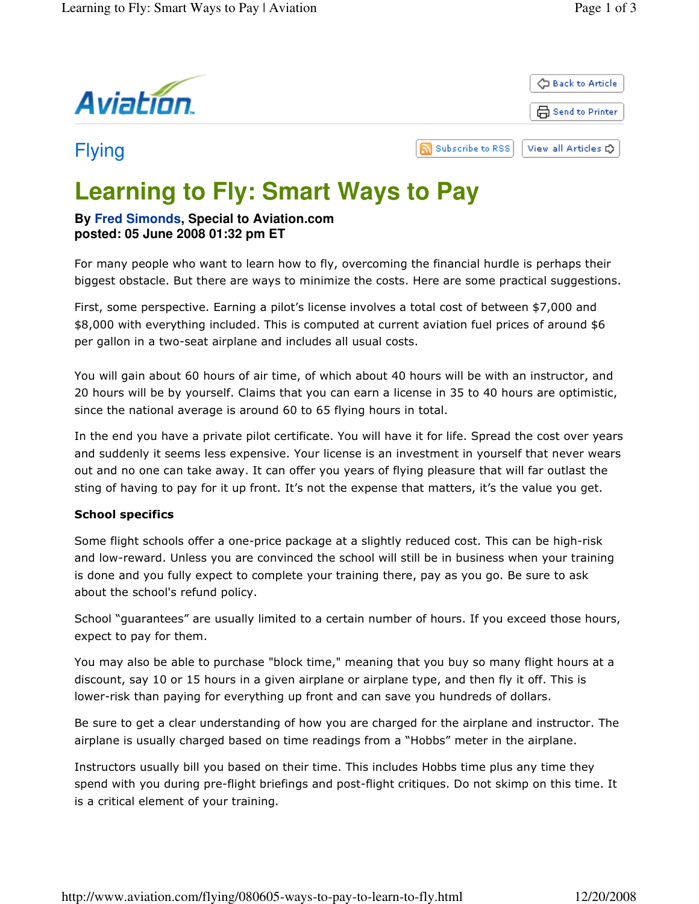

# **Learning to Fly: Smart Ways to Pay**

# **By Fred Simonds, Special to Aviation.com posted: 05 June 2008 01:32 pm ET**

For many people who want to learn how to fly, overcoming the financial hurdle is perhaps their biggest obstacle. But there are ways to minimize the costs. Here are some practical suggestions.

First, some perspective. Earning a pilot's license involves a total cost of between \$7,000 and \$8,000 with everything included. This is computed at current aviation fuel prices of around \$6 per gallon in a two-seat airplane and includes all usual costs.

You will gain about 60 hours of air time, of which about 40 hours will be with an instructor, and 20 hours will be by yourself. Claims that you can earn a license in 35 to 40 hours are optimistic, since the national average is around 60 to 65 flying hours in total.

In the end you have a private pilot certificate. You will have it for life. Spread the cost over years and suddenly it seems less expensive. Your license is an investment in yourself that never wears out and no one can take away. It can offer you years of flying pleasure that will far outlast the sting of having to pay for it up front. It's not the expense that matters, it's the value you get.

## School specifics

Some flight schools offer a one-price package at a slightly reduced cost. This can be high-risk and low-reward. Unless you are convinced the school will still be in business when your training is done and you fully expect to complete your training there, pay as you go. Be sure to ask about the school's refund policy.

School "guarantees" are usually limited to a certain number of hours. If you exceed those hours, expect to pay for them.

You may also be able to purchase "block time," meaning that you buy so many flight hours at a discount, say 10 or 15 hours in a given airplane or airplane type, and then fly it off. This is lower-risk than paying for everything up front and can save you hundreds of dollars.

Be sure to get a clear understanding of how you are charged for the airplane and instructor. The airplane is usually charged based on time readings from a "Hobbs" meter in the airplane.

Instructors usually bill you based on their time. This includes Hobbs time plus any time they spend with you during pre-flight briefings and post-flight critiques. Do not skimp on this time. It is a critical element of your training.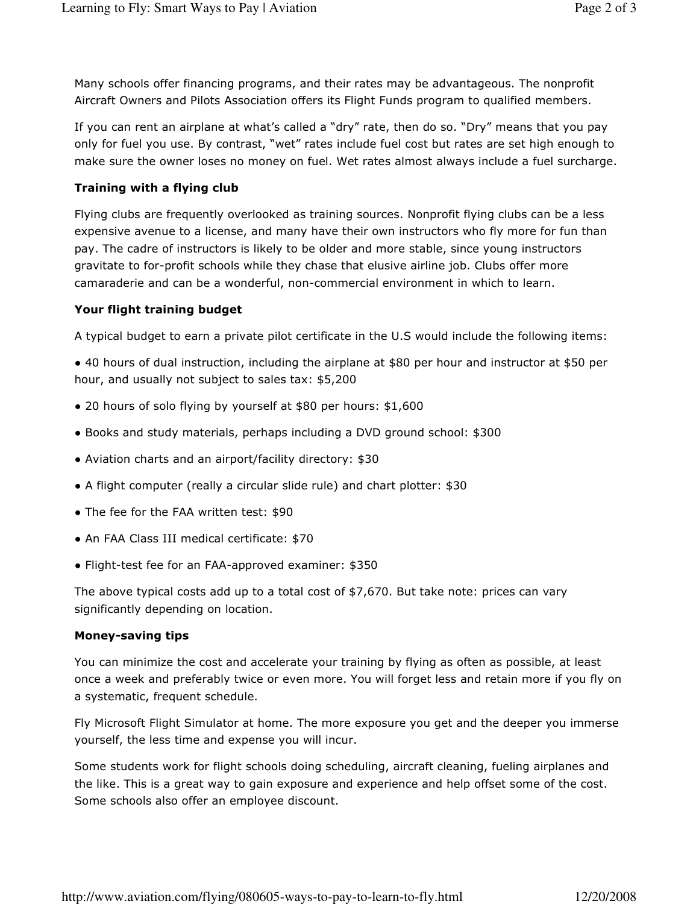Many schools offer financing programs, and their rates may be advantageous. The nonprofit Aircraft Owners and Pilots Association offers its Flight Funds program to qualified members.

If you can rent an airplane at what's called a "dry" rate, then do so. "Dry" means that you pay only for fuel you use. By contrast, "wet" rates include fuel cost but rates are set high enough to make sure the owner loses no money on fuel. Wet rates almost always include a fuel surcharge.

### Training with a flying club

Flying clubs are frequently overlooked as training sources. Nonprofit flying clubs can be a less expensive avenue to a license, and many have their own instructors who fly more for fun than pay. The cadre of instructors is likely to be older and more stable, since young instructors gravitate to for-profit schools while they chase that elusive airline job. Clubs offer more camaraderie and can be a wonderful, non-commercial environment in which to learn.

#### Your flight training budget

A typical budget to earn a private pilot certificate in the U.S would include the following items:

● 40 hours of dual instruction, including the airplane at \$80 per hour and instructor at \$50 per hour, and usually not subject to sales tax: \$5,200

- 20 hours of solo flying by yourself at \$80 per hours: \$1,600
- Books and study materials, perhaps including a DVD ground school: \$300
- Aviation charts and an airport/facility directory: \$30
- A flight computer (really a circular slide rule) and chart plotter: \$30
- The fee for the FAA written test: \$90
- An FAA Class III medical certificate: \$70
- Flight-test fee for an FAA-approved examiner: \$350

The above typical costs add up to a total cost of \$7,670. But take note: prices can vary significantly depending on location.

#### Money-saving tips

You can minimize the cost and accelerate your training by flying as often as possible, at least once a week and preferably twice or even more. You will forget less and retain more if you fly on a systematic, frequent schedule.

Fly Microsoft Flight Simulator at home. The more exposure you get and the deeper you immerse yourself, the less time and expense you will incur.

Some students work for flight schools doing scheduling, aircraft cleaning, fueling airplanes and the like. This is a great way to gain exposure and experience and help offset some of the cost. Some schools also offer an employee discount.